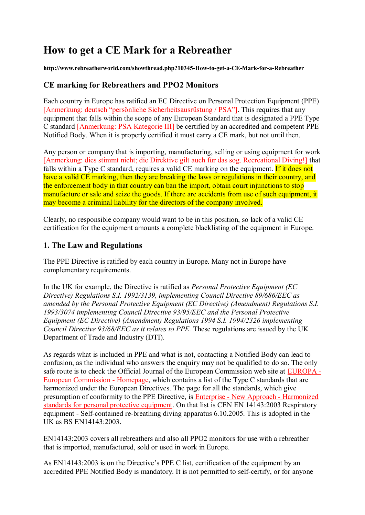# **How to get a CE Mark for a Rebreather**

**http://www.rebreatherworld.com/showthread.php?10345-How-to-get-a-CE-Mark-for-a-Rebreather**

### **CE marking for Rebreathers and PPO2 Monitors**

Each country in Europe has ratified an EC Directive on Personal Protection Equipment (PPE) [Anmerkung: deutsch "persönliche Sicherheitsausrüstung / PSA"]. This requires that any equipment that falls within the scope of any European Standard that is designated a PPE Type C standard [Anmerkung: PSA Kategorie III] be certified by an accredited and competent PPE Notified Body. When it is properly certified it must carry a CE mark, but not until then.

Any person or company that is importing, manufacturing, selling or using equipment for work [Anmerkung: dies stimmt nicht; die Direktive gilt auch für das sog. Recreational Diving!] that falls within a Type C standard, requires a valid CE marking on the equipment. If it does not have a valid CE marking, then they are breaking the laws or regulations in their country, and the enforcement body in that country can ban the import, obtain court injunctions to stop manufacture or sale and seize the goods. If there are accidents from use of such equipment, it may become a criminal liability for the directors of the company involved.

Clearly, no responsible company would want to be in this position, so lack of a valid CE certification for the equipment amounts a complete blacklisting of the equipment in Europe.

### **1. The Law and Regulations**

The PPE Directive is ratified by each country in Europe. Many not in Europe have complementary requirements.

In the UK for example, the Directive is ratified as *Personal Protective Equipment (EC Directive) Regulations S.I. 1992/3139, implementing Council Directive 89/686/EEC as amended by the Personal Protective Equipment (EC Directive) (Amendment) Regulations S.I. 1993/3074 implementing Council Directive 93/95/EEC and the Personal Protective Equipment (EC Directive) (Amendment) Regulations 1994 S.I. 1994/2326 implementing Council Directive 93/68/EEC as it relates to PPE.* These regulations are issued by the UK Department of Trade and Industry (DTI).

As regards what is included in PPE and what is not, contacting a Notified Body can lead to confusion, as the individual who answers the enquiry may not be qualified to do so. The only safe route is to check the Official Journal of the European Commission web site at EUROPA - European Commission - Homepage, which contains a list of the Type C standards that are harmonized under the European Directives. The page for all the standards, which give presumption of conformity to the PPE Directive, is Enterprise - New Approach - Harmonized standards for personal protective equipment. On that list is CEN EN 14143:2003 Respiratory equipment - Self-contained re-breathing diving apparatus 6.10.2005. This is adopted in the UK as BS EN14143:2003.

EN14143:2003 covers all rebreathers and also all PPO2 monitors for use with a rebreather that is imported, manufactured, sold or used in work in Europe.

As EN14143:2003 is on the Directive's PPE C list, certification of the equipment by an accredited PPE Notified Body is mandatory. It is not permitted to self-certify, or for anyone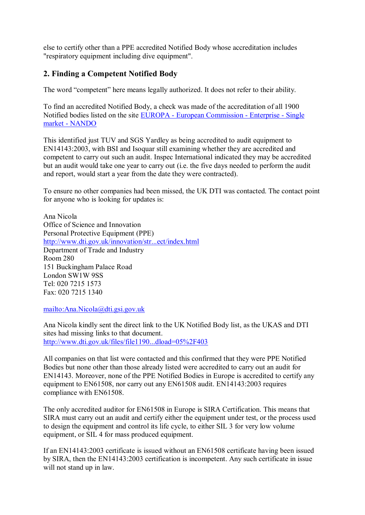else to certify other than a PPE accredited Notified Body whose accreditation includes "respiratory equipment including dive equipment".

## **2. Finding a Competent Notified Body**

The word "competent" here means legally authorized. It does not refer to their ability.

To find an accredited Notified Body, a check was made of the accreditation of all 1900 Notified bodies listed on the site EUROPA - European Commission - Enterprise - Single market - NANDO

This identified just TUV and SGS Yardley as being accredited to audit equipment to EN14143:2003, with BSI and Isoquar still examining whether they are accredited and competent to carry out such an audit. Inspec International indicated they may be accredited but an audit would take one year to carry out (i.e. the five days needed to perform the audit and report, would start a year from the date they were contracted).

To ensure no other companies had been missed, the UK DTI was contacted. The contact point for anyone who is looking for updates is:

Ana Nicola Office of Science and Innovation Personal Protective Equipment (PPE) http://www.dti.gov.uk/innovation/str...ect/index.html Department of Trade and Industry Room 280 151 Buckingham Palace Road London SW1W 9SS Tel: 020 7215 1573 Fax: 020 7215 1340

mailto:Ana.Nicola@dti.gsi.gov.uk

Ana Nicola kindly sent the direct link to the UK Notified Body list, as the UKAS and DTI sites had missing links to that document. http://www.dti.gov.uk/files/file1190...dload=05%2F403

All companies on that list were contacted and this confirmed that they were PPE Notified Bodies but none other than those already listed were accredited to carry out an audit for EN14143. Moreover, none of the PPE Notified Bodies in Europe is accredited to certify any equipment to EN61508, nor carry out any EN61508 audit. EN14143:2003 requires compliance with EN61508.

The only accredited auditor for EN61508 in Europe is SIRA Certification. This means that SIRA must carry out an audit and certify either the equipment under test, or the process used to design the equipment and control its life cycle, to either SIL 3 for very low volume equipment, or SIL 4 for mass produced equipment.

If an EN14143:2003 certificate is issued without an EN61508 certificate having been issued by SIRA, then the EN14143:2003 certification is incompetent. Any such certificate in issue will not stand up in law.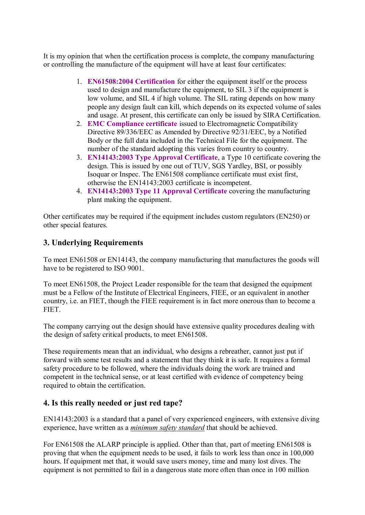It is my opinion that when the certification process is complete, the company manufacturing or controlling the manufacture of the equipment will have at least four certificates:

- 1. **EN61508:2004 Certification** for either the equipment itself or the process used to design and manufacture the equipment, to SIL 3 if the equipment is low volume, and SIL 4 if high volume. The SIL rating depends on how many people any design fault can kill, which depends on its expected volume of sales and usage. At present, this certificate can only be issued by SIRA Certification.
- 2. **EMC Compliance certificate** issued to Electromagnetic Compatibility Directive 89/336/EEC as Amended by Directive 92/31/EEC, by a Notified Body or the full data included in the Technical File for the equipment. The number of the standard adopting this varies from country to country.
- 3. **EN14143:2003 Type Approval Certificate**, a Type 10 certificate covering the design. This is issued by one out of TUV, SGS Yardley, BSI, or possibly Isoquar or Inspec. The EN61508 compliance certificate must exist first, otherwise the EN14143:2003 certificate is incompetent.
- 4. **EN14143:2003 Type 11 Approval Certificate** covering the manufacturing plant making the equipment.

Other certificates may be required if the equipment includes custom regulators (EN250) or other special features.

# **3. Underlying Requirements**

To meet EN61508 or EN14143, the company manufacturing that manufactures the goods will have to be registered to ISO 9001.

To meet EN61508, the Project Leader responsible for the team that designed the equipment must be a Fellow of the Institute of Electrical Engineers, FIEE, or an equivalent in another country, i.e. an FIET, though the FIEE requirement is in fact more onerous than to become a **FIET.** 

The company carrying out the design should have extensive quality procedures dealing with the design of safety critical products, to meet EN61508.

These requirements mean that an individual, who designs a rebreather, cannot just put if forward with some test results and a statement that they think it is safe. It requires a formal safety procedure to be followed, where the individuals doing the work are trained and competent in the technical sense, or at least certified with evidence of competency being required to obtain the certification.

## **4. Is this really needed or just red tape?**

EN14143:2003 is a standard that a panel of very experienced engineers, with extensive diving experience, have written as a *minimum safety standard* that should be achieved.

For EN61508 the ALARP principle is applied. Other than that, part of meeting EN61508 is proving that when the equipment needs to be used, it fails to work less than once in 100,000 hours. If equipment met that, it would save users money, time and many lost dives. The equipment is not permitted to fail in a dangerous state more often than once in 100 million